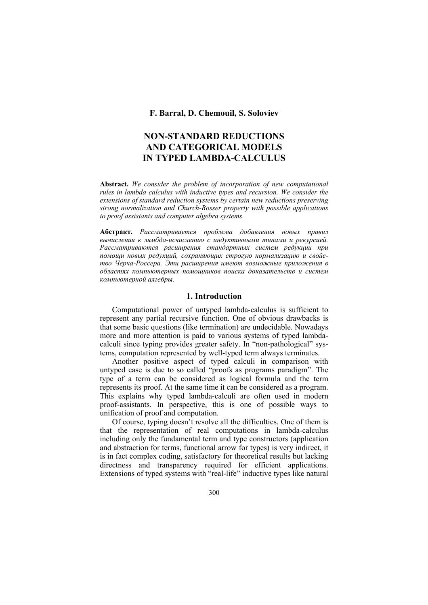**F. Barral, D. Chemouil, S. Soloviev** 

# **NON-STANDARD REDUCTIONS AND CATEGORICAL MODELS IN TYPED LAMBDA-CALCULUS**

**Abstract.** *We consider the problem of incorporation of new computational rules in lambda calculus with inductive types and recursion. We consider the extensions of standard reduction systems by certain new reductions preserving strong normalization and Church-Rosser property with possible applications to proof assistants and computer algebra systems.* 

**Абстракт.** *Рассматривается проблема добавления новых правил вычисления к лямбда-исчислению с индуктивными типами и рекурсией. Рассматриваются расширения стандартных систем редукции при помощи новых редукций, сохраняющих строгую нормализацию и свойство Черча-Россера. Эти расширения имеют возможные приложения в областях компьютерных помощников поиска доказательств и систем компьютерной алгебры.*

# **1. Introduction**

 Computational power of untyped lambda-calculus is sufficient to represent any partial recursive function. One of obvious drawbacks is that some basic questions (like termination) are undecidable. Nowadays more and more attention is paid to various systems of typed lambdacalculi since typing provides greater safety. In "non-pathological" systems, computation represented by well-typed term always terminates.

 Another positive aspect of typed calculi in comparison with untyped case is due to so called "proofs as programs paradigm". The type of a term can be considered as logical formula and the term represents its proof. At the same time it can be considered as a program. This explains why typed lambda-calculi are often used in modern proof-assistants. In perspective, this is one of possible ways to unification of proof and computation.

 Of course, typing doesn't resolve all the difficulties. One of them is that the representation of real computations in lambda-calculus including only the fundamental term and type constructors (application and abstraction for terms, functional arrow for types) is very indirect, it is in fact complex coding, satisfactory for theoretical results but lacking directness and transparency required for efficient applications. Extensions of typed systems with "real-life" inductive types like natural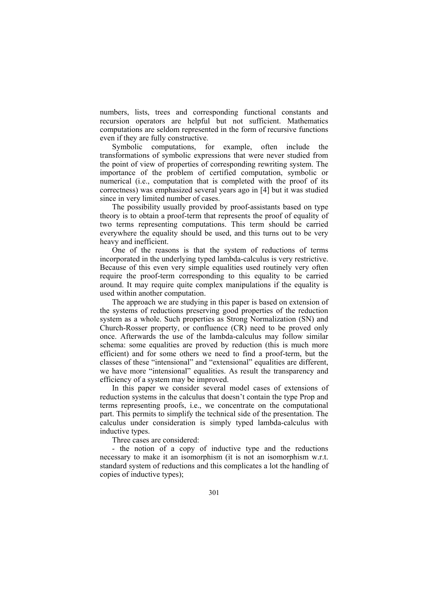numbers, lists, trees and corresponding functional constants and recursion operators are helpful but not sufficient. Mathematics computations are seldom represented in the form of recursive functions even if they are fully constructive.

 Symbolic computations, for example, often include the transformations of symbolic expressions that were never studied from the point of view of properties of corresponding rewriting system. The importance of the problem of certified computation, symbolic or numerical (i.e., computation that is completed with the proof of its correctness) was emphasized several years ago in [4] but it was studied since in very limited number of cases.

 The possibility usually provided by proof-assistants based on type theory is to obtain a proof-term that represents the proof of equality of two terms representing computations. This term should be carried everywhere the equality should be used, and this turns out to be very heavy and inefficient.

 One of the reasons is that the system of reductions of terms incorporated in the underlying typed lambda-calculus is very restrictive. Because of this even very simple equalities used routinely very often require the proof-term corresponding to this equality to be carried around. It may require quite complex manipulations if the equality is used within another computation.

 The approach we are studying in this paper is based on extension of the systems of reductions preserving good properties of the reduction system as a whole. Such properties as Strong Normalization (SN) and Church-Rosser property, or confluence (CR) need to be proved only once. Afterwards the use of the lambda-calculus may follow similar schema: some equalities are proved by reduction (this is much more efficient) and for some others we need to find a proof-term, but the classes of these "intensional" and "extensional" equalities are different, we have more "intensional" equalities. As result the transparency and efficiency of a system may be improved.

 In this paper we consider several model cases of extensions of reduction systems in the calculus that doesn't contain the type Prop and terms representing proofs, i.e., we concentrate on the computational part. This permits to simplify the technical side of the presentation. The calculus under consideration is simply typed lambda-calculus with inductive types.

Three cases are considered:

 - the notion of a copy of inductive type and the reductions necessary to make it an isomorphism (it is not an isomorphism w.r.t. standard system of reductions and this complicates a lot the handling of copies of inductive types);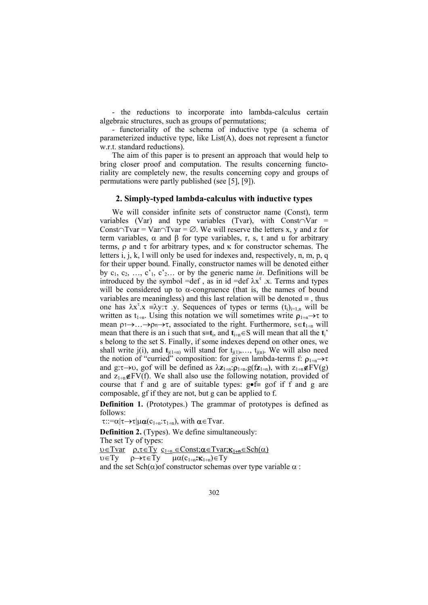- the reductions to incorporate into lambda-calculus certain algebraic structures, such as groups of permutations;

 - functoriality of the schema of inductive type (a schema of parameterized inductive type, like List(A), does not represent a functor w.r.t. standard reductions).

 The aim of this paper is to present an approach that would help to bring closer proof and computation. The results concerning functoriality are completely new, the results concerning copy and groups of permutations were partly published (see [5], [9]).

# **2. Simply-typed lambda-calculus with inductive types**

 We will consider infinite sets of constructor name (Const), term variables (Var) and type variables (Tvar), with Const∩Var = Const∩Tvar = Var∩Tvar =  $\emptyset$ . We will reserve the letters x, y and z for term variables, α and β for type variables, r, s, t and u for arbitrary terms,  $ρ$  and  $τ$  for arbitrary types, and  $κ$  for constructor schemas. The letters i, j, k, l will only be used for indexes and, respectively, n, m, p, q for their upper bound. Finally, constructor names will be denoted either by  $c_1, c_2, ..., c'_{1}, c'_{2}...$  or by the generic name *in*. Definitions will be introduced by the symbol =def , as in id =def  $\lambda x^{\tau}$ .x. Terms and types will be considered up to  $\alpha$ -congruence (that is, the names of bound variables are meaningless) and this last relation will be denoted  $\equiv$ , thus one has  $\lambda x^{\tau}$ .  $x \equiv \lambda y$ :  $\tau$  .  $y$ . Sequences of types or terms  $(t_i)_{i=1,n}$  will be written as t<sub>1÷n</sub>. Using this notation we will sometimes write  $\rho_{1\div n} \rightarrow \tau$  to mean ρ1→…→ρn→τ, associated to the right. Furthermore, s∈**t**1<sup>÷</sup>n will mean that there is an i such that  $s=t_i$ , and  $t_{i+n} \in S$  will mean that all the  $t_i$ ' s belong to the set S. Finally, if some indexes depend on other ones, we shall write j(i), and  $\mathbf{t}_{j(1+n)}$  will stand for  $t_{j(1)},..., t_{j(n)}$ . We will also need the notion of "curried" composition: for given lambda-terms f:  $\rho_{1+n} \rightarrow \tau$ and g:τ→υ, gοf will be defined as λ**z**1<sup>÷</sup>n:ρ1<sup>÷</sup>n.g(f**z**1<sup>÷</sup>n), with z1<sup>÷</sup>n∉FV(g) and  $z_{1+n}$ ∉FV(f). We shall also use the following notation, provided of course that f and g are of suitable types:  $g \bullet f \equiv g \circ f$  if f and g are composable, gf if they are not, but g can be applied to f.

**Definition 1.** (Prototypes.) The grammar of prototypes is defined as follows:

 $\tau:=\alpha|\tau\rightarrow\tau|\mu\alpha(c_{1+n}:\tau_{1+n})$ , with  $\alpha\in\Gamma$ var.

**Definition 2.** (Types). We define simultaneously: The set Ty of types: υ∈Tvar ρ,τ∈Ty c1<sup>÷</sup>n ∈Const;α∈Tvar;κ1÷**n**∈Sch(α) υ∈Ty ρ→τ∈Ty µα(c1<sup>÷</sup>n**:**κ1÷n)∈Ty and the set  $\text{Sch}(\alpha)$  of constructor schemas over type variable  $\alpha$ :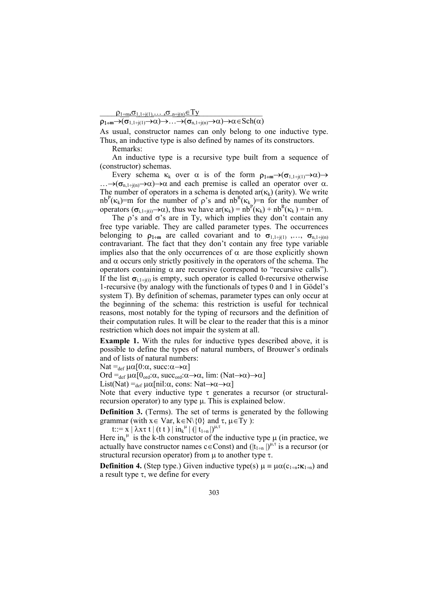$\rho_{1+m} \sigma_{1,1+j(1)}, \ldots, \sigma_{n+j(n)} \in Ty$ 

 $\rho_{1+m}\rightarrow(\sigma_{1,1+j(1)}\rightarrow\alpha)\rightarrow\ldots\rightarrow(\sigma_{n,1+j(n)}\rightarrow\alpha)\rightarrow\alpha\in Sch(\alpha)$ 

As usual, constructor names can only belong to one inductive type. Thus, an inductive type is also defined by names of its constructors.

Remarks:

 An inductive type is a recursive type built from a sequence of (constructor) schemas.

Every schema  $\kappa_k$  over  $\alpha$  is of the form  $\rho_{1+m}\rightarrow(\sigma_{1,1+i(1)}\rightarrow\alpha)\rightarrow$  $\ldots \rightarrow (\sigma_{n,1+i(n)} \rightarrow \alpha) \rightarrow \alpha$  and each premise is called an operator over  $\alpha$ . The number of operators in a schema is denoted  $ar(\kappa_k)$  (arity). We write nb<sup>P</sup>( $\kappa_k$ )=m for the number of  $\rho$ 's and nb<sup>R</sup>( $\kappa_k$ )=n for the number of operators  $(\sigma_{i,1+j(i)} \to \alpha)$ , thus we have  $ar(\kappa_k) = nb^p(\kappa_k) + nb^R(\kappa_k) = n+m$ .

The  $\rho$ 's and  $\sigma$ 's are in Ty, which implies they don't contain any free type variable. They are called parameter types. The occurrences belonging to  $\rho_{1+m}$  are called covariant and to  $\sigma_{1,1+i(1)},...,\sigma_{n,1+i(n)}$ contravariant. The fact that they don't contain any free type variable implies also that the only occurrences of  $\alpha$  are those explicitly shown and  $\alpha$  occurs only strictly positively in the operators of the schema. The operators containing α are recursive (correspond to "recursive calls"). If the list  $\sigma_{i,1+i(i)}$  is empty, such operator is called 0-recursive otherwise 1-recursive (by analogy with the functionals of types 0 and 1 in Gödel's system T). By definition of schemas, parameter types can only occur at the beginning of the schema: this restriction is useful for technical reasons, most notably for the typing of recursors and the definition of their computation rules. It will be clear to the reader that this is a minor restriction which does not impair the system at all.

**Example 1.** With the rules for inductive types described above, it is possible to define the types of natural numbers, of Brouwer's ordinals and of lists of natural numbers:

Nat = $_{def}$  μα[0:α, succ:α $\rightarrow \alpha$ ]

Ord = $_{def} \mu \alpha [0_{ord}:\alpha, succ_{ord}:\alpha \rightarrow \alpha, lim: (Nat \rightarrow \alpha) \rightarrow \alpha]$ 

List(Nat) = $_{def} \mu \alpha$ [nil:α, cons: Nat $\rightarrow \alpha \rightarrow \alpha$ ]

Note that every inductive type  $\tau$  generates a recursor (or structuralrecursion operator) to any type µ. This is explained below.

**Definition 3.** (Terms). The set of terms is generated by the following grammar (with  $x \in Var$ ,  $k \in N \setminus \{0\}$  and  $\tau$ ,  $\mu \in \overline{Ty}$ ):

t::= x | λxτ t | (t t ) | in<sub>k</sub><sup> $\mu$ </sup> | (| t<sub>1÷n</sub> |)<sup> $\mu, \tau$ </sup>

Here  $\text{in}_{k}$ <sup>u</sup> is the k-th constructor of the inductive type  $\mu$  (in practice, we actually have constructor names  $c \in Const$ ) and  $(|t_{1+n}|)^{\mu,\tau}$  is a recursor (or structural recursion operator) from  $\mu$  to another type  $\tau$ .

**Definition 4.** (Step type.) Given inductive type(s)  $\mu = \mu \alpha(c_{1+n}; \kappa_{1+n})$  and a result type τ, we define for every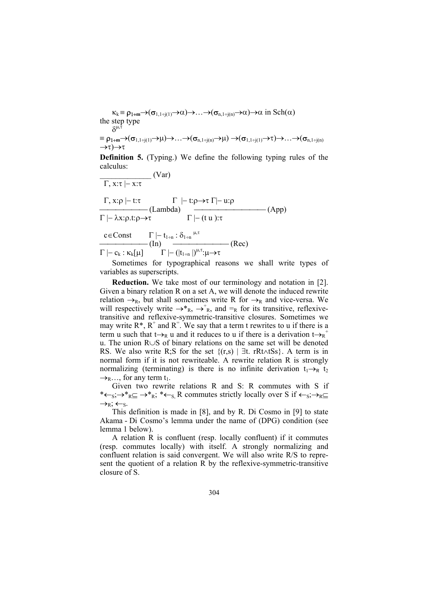$\kappa_k \equiv \rho_{1+m} \rightarrow (\sigma_{1,1+j(1)} \rightarrow \alpha) \rightarrow ... \rightarrow (\sigma_{n,1+j(n)} \rightarrow \alpha) \rightarrow \alpha$  in Sch( $\alpha$ ) the step type  $δ^{\mu,\tilde{\tau}}$ 

$$
\equiv \rho_{1+m} \rightarrow (\sigma_{1,1+j(1)} \rightarrow \mu) \rightarrow \ldots \rightarrow (\sigma_{n,1+j(n)} \rightarrow \mu) \rightarrow (\sigma_{1,1+j(1)} \rightarrow \tau) \rightarrow \ldots \rightarrow (\sigma_{n,1+j(n)} \rightarrow \tau)
$$

**Definition 5.** (Typing.) We define the following typing rules of the calculus:  $(V_{\text{ar}})$ 

$$
\frac{\Gamma, x:\tau \mid -x:\tau}{\Gamma, x:\rho \mid -t:\tau} \quad (\text{Van})
$$
\n
$$
\frac{\Gamma, x:\rho \mid -t:\tau}{\Gamma \mid -\lambda x:\rho.t:\rho \to \tau} \quad \frac{\Gamma \mid -t:\rho \to \tau \Gamma \mid -u:\rho}{\Gamma \mid -\left(t u\right):\tau} \quad (\text{App})
$$
\n
$$
\frac{c \in \text{Const} \quad \Gamma \mid -t_{1+n} : \delta_{1+n}}{\Gamma \mid -\left(t_{1+n}\right)^{\mu, \tau}:\mu \to \tau} \quad (\text{Rec})
$$

Sometimes for typographical reasons we shall write types of variables as superscripts.

**Reduction.** We take most of our terminology and notation in [2]. Given a binary relation R on a set A, we will denote the induced rewrite relation  $\rightarrow_R$ , but shall sometimes write R for  $\rightarrow_R$  and vice-versa. We will respectively write  $\rightarrow^*_{R}$ ,  $\rightarrow^*_{R}$ , and  $=_R$  for its transitive, reflexivetransitive and reflexive-symmetric-transitive closures. Sometimes we may write  $R^*$ ,  $R^+$  and  $R^-$ . We say that a term t rewrites to u if there is a term u such that  $t \rightarrow_R u$  and it reduces to u if there is a derivation  $t \rightarrow_R^+$ u. The union R∪S of binary relations on the same set will be denoted RS. We also write R;S for the set  ${(r,s) | \exists t$ . rRt∧tSs}. A term is in normal form if it is not rewriteable. A rewrite relation R is strongly normalizing (terminating) is there is no infinite derivation  $t_1 \rightarrow_R t_2$  $\rightarrow$ <sub>R</sub>…, for any term t<sub>1</sub>.

 Given two rewrite relations R and S: R commutes with S if \* $\leftarrow$ s; $\rightarrow$ \*<sub>R</sub> $\subseteq$  $\rightarrow$ \*<sub>R</sub>; \* $\leftarrow$ <sub>S</sub>, R commutes strictly locally over S if  $\leftarrow$ <sub>S</sub>; $\rightarrow$ <sub>R</sub> $\subseteq$  $\rightarrow_R; \leftarrow_S.$ 

 This definition is made in [8], and by R. Di Cosmo in [9] to state Akama - Di Cosmo's lemma under the name of (DPG) condition (see lemma 1 below).

 A relation R is confluent (resp. locally confluent) if it commutes (resp. commutes locally) with itself. A strongly normalizing and confluent relation is said convergent. We will also write R/S to represent the quotient of a relation R by the reflexive-symmetric-transitive closure of S.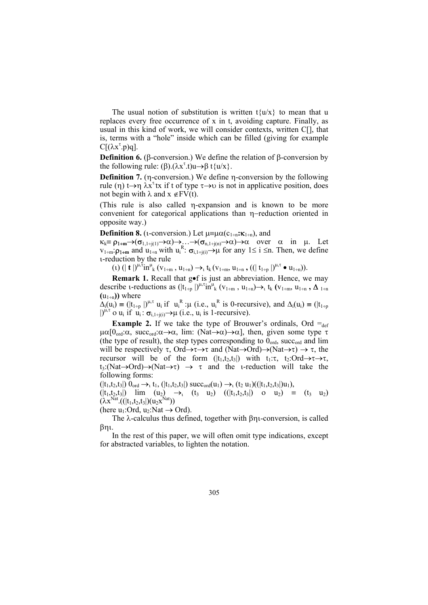The usual notion of substitution is written  $t\{u/x\}$  to mean that u replaces every free occurrence of x in t, avoiding capture. Finally, as usual in this kind of work, we will consider contexts, written C[], that is, terms with a "hole" inside which can be filled (giving for example  $C[(\lambda x^{\tau}.p)q].$ 

**Definition 6.** (β-conversion.) We define the relation of β-conversion by the following rule:  $(\beta)$ . $(\lambda x^{\tau}.t)u \rightarrow \beta t$ {u/x}.

**Definition 7.** (η-conversion.) We define η-conversion by the following rule (η)  $t \rightarrow \eta \lambda x^{\tau}$ tx if t of type  $\tau \rightarrow \nu$  is not in applicative position, does not begin with  $\lambda$  and  $x \notin FV(t)$ .

(This rule is also called η-expansion and is known to be more convenient for categorical applications than η−reduction oriented in opposite way.)

**Definition 8.** (*i*-conversion.) Let  $\mu = \mu \alpha(c_{1+n} : \kappa_{1+n})$ , and

 $\kappa_k \equiv \rho_{1+m} \rightarrow (\sigma_{1,1+j(1)} \rightarrow \alpha) \rightarrow \dots \rightarrow (\sigma_{n,1+j(n)} \rightarrow \alpha) \rightarrow \alpha$  over  $\alpha$  in  $\mu$ . Let  $v_{1+m}$ : $\rho_{1+m}$  and  $u_{1+n}$  with  $u_i^R$ :  $\sigma_{i,1+i(i)} \rightarrow \mu$  for any  $1 \le i \le n$ . Then, we define ι-reduction by the rule

 $(1)$   $(|\mathbf{t}|)^{\mu, \tau}$ in<sup>u</sup><sub>k</sub>  $(v_{1+m}, u_{1+n}) \rightarrow_t t_k$   $(v_{1+m}, u_{1+n}, ((|t_{1+p}|)^{\mu, \tau} \bullet u_{1+n})).$ 

**Remark 1.** Recall that g•f is just an abbreviation. Hence, we may describe *i*-reductions as  $(|t_{1+p}|)^{\mu,\tau}$ in<sup>u</sup><sub>k</sub>  $(v_{1+m}, u_{1+n}) \rightarrow_t t_k$   $(v_{1+m}, u_{1+n}, \Delta_{1+n})$  $(u_{1\pm n})$  where

 $\Delta_i(u_i) = (|t_{1+p}|)^{\mu,\tau} u_i$  if  $u_i^R : \mu$  (i.e.,  $u_i^R$  is 0-recursive), and  $\Delta_i(u_i) = (|t_{1+p}|)^{\mu,\tau} u_i$  $| \rangle^{\hat{\mu}, \tau}$  o  $u_i$  if  $u_i : \sigma_{i, 1 \to j(i)} \rightarrow \mu$  (i.e.,  $u_i$  is 1-recursive).

**Example 2.** If we take the type of Brouwer's ordinals, Ord  $=_{def}$  $\mu\alpha$ [0<sub>ord</sub>: $\alpha$ , succ<sub>ord</sub>: $\alpha \rightarrow \alpha$ , lim: (Nat $\rightarrow \alpha$ ) $\rightarrow \alpha$ ], then, given some type  $\tau$ (the type of result), the step types corresponding to  $0<sub>ord</sub>$ , succ<sub>ord</sub> and lim will be respectively  $\tau$ , Ord $\rightarrow \tau \rightarrow \tau$  and (Nat $\rightarrow$ Ord) $\rightarrow$ (Nat $\rightarrow \tau$ )  $\rightarrow \tau$ , the recursor will be of the form  $(|t_1,t_2,t_3|)$  with  $t_1:\tau$ ,  $t_2:\overline{\text{Ord}\rightarrow \tau\rightarrow \tau}$ ,  $t_3$ :(Nat→Ord)→(Nat→τ) → τ and the *i*-reduction will take the following forms:

 $(|t_1,t_2,t_3|)$   $0_{\text{ord}} \rightarrow_t t_1$ ,  $(|t_1,t_2,t_3|)$  succ<sub>ord</sub> $(u_1) \rightarrow_t (t_2 u_1)((|t_1,t_2,t_3|)u_1)$ ,

 $(|t_1,t_2,t_3|)$  lim  $(u_2) \rightarrow_i (t_3 \ u_2)$   $(|t_1,t_2,t_3|)$  o  $u_2) \equiv (t_3 \ u_2)$  $(\lambda x^{Nat}.((|t_1,t_2,t_3|)(u_2x^{Nat}))$ 

(here  $u_1$ :Ord,  $u_2$ :Nat  $\rightarrow$  Ord).

 The λ-calculus thus defined, together with βηι-conversion, is called βηι.

 In the rest of this paper, we will often omit type indications, except for abstracted variables, to lighten the notation.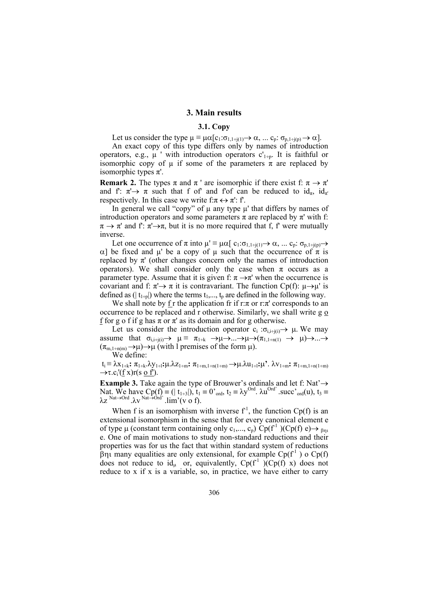#### **3. Main results**

#### **3.1. Copy**

Let us consider the type  $\mu \equiv \mu \alpha[c_1:\sigma_{1,1+i(1)} \rightarrow \alpha, ... c_p:\sigma_{p,1+i(p)} \rightarrow \alpha]$ .

 An exact copy of this type differs only by names of introduction operators, e.g.,  $\mu$  ' with introduction operators c'<sub>1÷p</sub>. It is faithful or isomorphic copy of  $\mu$  if some of the parameters  $\pi$  are replaced by isomorphic types  $\pi'$ .

**Remark 2.** The types  $\pi$  and  $\pi$  ' are isomorphic if there exist f:  $\pi \to \pi'$ and f:  $\pi \rightarrow \pi$  such that f of' and f'of' can be reduced to  $id_{\pi}$ ,  $id_{\pi'}$ respectively. In this case we write  $f: \pi \leftrightarrow \pi'$ : f'.

In general we call "copy" of  $\mu$  any type  $\mu$ ' that differs by names of introduction operators and some parameters  $\pi$  are replaced by  $\pi'$  with f:  $\pi \to \pi'$  and f:  $\pi' \to \pi$ , but it is no more required that f, f' were mutually inverse.

Let one occurrence of  $\pi$  into  $\mu' \equiv \mu \alpha [c_1:\sigma_{1,1+i(1)} \rightarrow \alpha, ... c_p:\sigma_{p,1+i(p)} \rightarrow$ α] be fixed and  $\mu'$  be a copy of  $\mu$  such that the occurrence of π is replaced by  $\pi'$  (other changes concern only the names of introduction operators). We shall consider only the case when  $\pi$  occurs as a parameter type. Assume that it is given f:  $\pi \rightarrow \pi'$  when the occurrence is covariant and f:  $\pi \rightarrow \pi$  it is contravariant. The function Cp(f):  $\mu \rightarrow \mu'$  is defined as ( $| t_{1}$ <sub>tin</sub> $|$ ) where the terms  $t_1$ ,...,  $t_p$  are defined in the following way.

We shall note by  $f r$  the application fr if  $r:\pi$  or  $r:\pi'$  corresponds to an occurrence to be replaced and r otherwise. Similarly, we shall write g o f for g o f if g has  $\pi$  or  $\pi'$  as its domain and for g otherwise.

Let us consider the introduction operator  $c_i : \sigma_{i,i+j(i)} \to \mu$ . We may assume that  $\sigma_{i,i\div(i)} \rightarrow \mu \equiv \pi_{1\div k} \rightarrow \mu \rightarrow \dots \rightarrow \mu \rightarrow (\pi_{1,1\div n(1)} \rightarrow \mu) \rightarrow \dots \rightarrow$  $(\pi_{m,1+n(m)} \rightarrow \mu) \rightarrow \mu$  (with l premises of the form  $\mu$ ).

We define:

 ti ≡ λx1<sup>÷</sup>k**:** π1<sup>÷</sup>k.λy1<sup>÷</sup>l**:**µ.λz1<sup>÷</sup>m**:** π1÷m,1÷n(1÷m) →µ.λu1<sup>÷</sup>l**:**µ**'**. λv1<sup>÷</sup>m**:** π1÷m,1÷n(1÷m)  $\rightarrow \tau.c_i'(\underline{f} x)r(s \underline{o} f).$ 

**Example 3.** Take again the type of Brouwer's ordinals and let f: Nat'→ Nat. We have  $Cp(f) \equiv (|t_{1\div 3}|), t_1 = 0$ '<sub>ord</sub>,  $t_2 = \lambda y^{Ord}$ .  $\lambda u^{Ord}$ ' .succ'<sub>ord</sub> $(u)$ ,  $t_3 =$  $\lambda z \stackrel{\text{Nat} \to \text{Ord}}{\sim} \lambda v \stackrel{\text{Nat} \to \text{Ord}}{\sim} \text{lim'}(v \text{ of}).$ 

When f is an isomorphism with inverse  $f<sup>1</sup>$ , the function Cp(f) is an extensional isomorphism in the sense that for every canonical element e of type  $\mu$  (constant term containing only  $c_1, ..., c_n$ ) Cp(f<sup>-1</sup>)(Cp(f) e)  $\rightarrow$  <sub>βnι</sub> e. One of main motivations to study non-standard reductions and their properties was for us the fact that within standard system of reductions βηι many equalities are only extensional, for example  $Cp(f^1)$  o  $Cp(f)$ does not reduce to  $id_u$  or, equivalently,  $Cp(f^1)(Cp(f)x)$  does not reduce to x if x is a variable, so, in practice, we have either to carry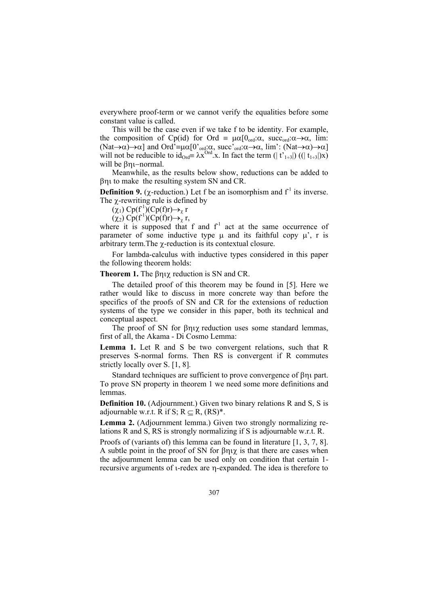everywhere proof-term or we cannot verify the equalities before some constant value is called.

 This will be the case even if we take f to be identity. For example, the composition of Cp(id) for Ord  $\equiv \mu \alpha [0_{\text{ord}}:\alpha, \text{ succ}_{\text{ord}}:\alpha \rightarrow \alpha, \text{ lim}:\alpha$ (Nat $\rightarrow \alpha$ ) $\rightarrow \alpha$ ] and Ord'= $\mu \alpha$ [0'<sub>ord</sub>: $\alpha$ , succ'<sub>ord</sub>: $\alpha \rightarrow \alpha$ , lim': (Nat $\rightarrow \alpha$ ) $\rightarrow \alpha$ ] will not be reducible to  $id_{Ord} \neq \lambda x^{Ord}$ .x. In fact the term  $(|t'_{1+3}|)((|t_{1+3}|)x)$ will be βηι−normal.

 Meanwhile, as the results below show, reductions can be added to βηι to make the resulting system SN and CR.

**Definition 9.** ( $\chi$ -reduction.) Let f be an isomorphism and  $f<sup>1</sup>$  its inverse. The  $\chi$ -rewriting rule is defined by

 $(\chi_1)$  Cp(f<sup>-1</sup>)(Cp(f)r) $\rightarrow_\chi$  r

 $(\chi_2)$  Cp(f<sup>-1</sup>)(Cp(f)r) $\rightarrow_\chi$  r,

where it is supposed that f and  $f<sup>1</sup>$  act at the same occurrence of parameter of some inductive type  $\mu$  and its faithful copy  $\mu'$ , r is arbitrary term.The χ-reduction is its contextual closure.

 For lambda-calculus with inductive types considered in this paper the following theorem holds:

#### **Theorem 1.** The βηιχ reduction is SN and CR.

 The detailed proof of this theorem may be found in [5]. Here we rather would like to discuss in more concrete way than before the specifics of the proofs of SN and CR for the extensions of reduction systems of the type we consider in this paper, both its technical and conceptual aspect.

 The proof of SN for βηιχ reduction uses some standard lemmas, first of all, the Akama - Di Cosmo Lemma:

**Lemma 1.** Let R and S be two convergent relations, such that R preserves S-normal forms. Then RS is convergent if R commutes strictly locally over S. [1, 8].

 Standard techniques are sufficient to prove convergence of βηι part. To prove SN property in theorem 1 we need some more definitions and lemmas.

**Definition 10.** (Adjournment.) Given two binary relations R and S, S is adjournable w.r.t. R if S;  $R \subset R$ ,  $(RS)^*$ .

**Lemma 2.** (Adjournment lemma.) Given two strongly normalizing relations R and S, RS is strongly normalizing if S is adjournable w.r.t. R.

Proofs of (variants of) this lemma can be found in literature [1, 3, 7, 8]. A subtle point in the proof of SN for βηιχ is that there are cases when the adjournment lemma can be used only on condition that certain 1 recursive arguments of ι-redex are η-expanded. The idea is therefore to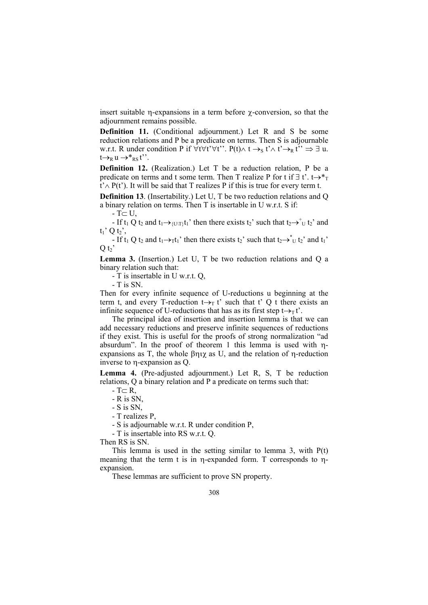insert suitable η-expansions in a term before χ-conversion, so that the adjournment remains possible.

**Definition 11.** (Conditional adjournment.) Let R and S be some reduction relations and P be a predicate on terms. Then S is adjournable w.r.t. R under condition P if  $\forall t \forall t' \forall t''$ . P(t) $\land$  t  $\rightarrow_S t' \land t' \rightarrow_R t'' \Rightarrow \exists u$ .  $t\rightarrow_R u \rightarrow^*$ <sub>RS</sub> t''.

**Definition 12.** (Realization.) Let T be a reduction relation, P be a predicate on terms and t some term. Then T realize P for t if  $\exists$  t'. t→\*<sub>T</sub> t'∧ P(t'). It will be said that T realizes P if this is true for every term t.

**Definition 13**. (Insertability.) Let U, T be two reduction relations and Q a binary relation on terms. Then T is insertable in U w.r.t. S if:

 $-T \subset U$ ,

- If  $t_1$  Q  $t_2$  and  $t_1 \rightarrow \{U(T)\}t_1'$  then there exists  $t_2'$  such that  $t_2 \rightarrow t_1 t_2'$  and  $t_1$ ' Q  $t_2$ ',

- If  $t_1$  Q  $t_2$  and  $t_1 \rightarrow_\tau t_1'$  then there exists  $t_2'$  such that  $t_2 \rightarrow \tau_U t_2'$  and  $t_1'$  $O t<sub>2</sub>$ 

**Lemma 3.** (Insertion.) Let U, T be two reduction relations and Q a binary relation such that:

- T is insertable in U w.r.t. Q,

- T is SN.

Then for every infinite sequence of U-reductions u beginning at the term t, and every T-reduction  $t \rightarrow_T t'$  such that t' Q t there exists an infinite sequence of U-reductions that has as its first step  $t \rightarrow T t'$ .

 The principal idea of insertion and insertion lemma is that we can add necessary reductions and preserve infinite sequences of reductions if they exist. This is useful for the proofs of strong normalization "ad absurdum". In the proof of theorem 1 this lemma is used with ηexpansions as T, the whole βηιχ as U, and the relation of η-reduction inverse to η-expansion as Q.

**Lemma 4.** (Pre-adjusted adjournment.) Let R, S, T be reduction relations, Q a binary relation and P a predicate on terms such that:

 $-T \subset R$ ,

- R is SN,

- S is SN,

- T realizes P,

- S is adjournable w.r.t. R under condition P,

- T is insertable into RS w.r.t. Q.

Then RS is SN.

This lemma is used in the setting similar to lemma 3, with  $P(t)$ meaning that the term t is in η-expanded form. T corresponds to ηexpansion.

These lemmas are sufficient to prove SN property.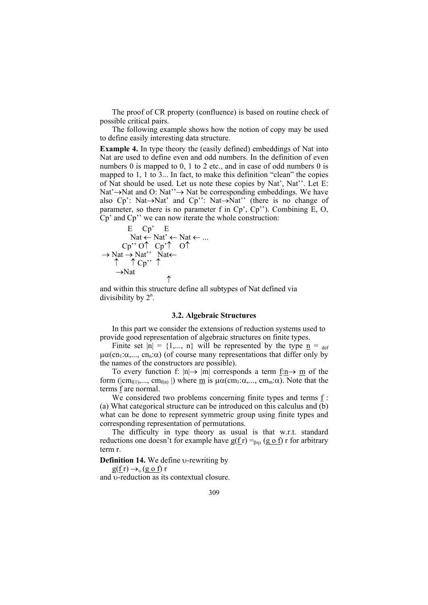The proof of CR property (confluence) is based on routine check of possible critical pairs.

 The following example shows how the notion of copy may be used to define easily interesting data structure.

**Example 4.** In type theory the (easily defined) embeddings of Nat into Nat are used to define even and odd numbers. In the definition of even numbers 0 is mapped to 0, 1 to 2 etc., and in case of odd numbers 0 is mapped to 1, 1 to 3... In fact, to make this definition "clean" the copies of Nat should be used. Let us note these copies by Nat', Nat''. Let E: Nat'→Nat and O: Nat''→ Nat be corresponding embeddings. We have also Cp': Nat→Nat' and Cp'': Nat→Nat'' (there is no change of parameter, so there is no parameter f in Cp', Cp''). Combining E, O, Cp' and Cp'' we can now iterate the whole construction:

$$
\begin{array}{c}\nE \ Cp^{\prime} \quad E \\
\text{Nat} \leftarrow \text{Nat}^{\prime} \leftarrow \text{Nat} \leftarrow \dots \\
Cp^{\prime\prime} \ 0^{\uparrow} \ Cp^{\prime\uparrow} \ 0^{\uparrow} \\
\rightarrow \text{Nat} \rightarrow \text{Nat}^{\prime\prime} \quad \text{Nat} \leftarrow \\
\uparrow \quad \uparrow Cp^{\prime\prime} \quad \uparrow \\
\rightarrow \text{Nat} \quad \uparrow\n\end{array}
$$

and within this structure define all subtypes of Nat defined via divisibility by  $2^n$ .

# **3.2. Algebraic Structures**

 In this part we consider the extensions of reduction systems used to provide good representation of algebraic structures on finite types.

Finite set  $|n| = \{1,..., n\}$  will be represented by the type  $\underline{n} = \text{def}$  $\mu\alpha$ (cn<sub>1</sub>: $\alpha$ ,..., cn<sub>n</sub>: $\alpha$ ) (of course many representations that differ only by the names of the constructors are possible).

To every function f:  $|n| \rightarrow |m|$  corresponds a term  $\underline{f:n} \rightarrow \underline{m}$  of the form ( $|cm_{f(1)},..., cm_{f(n)}|$ ) where <u>m</u> is  $\mu\alpha$ (cm<sub>1</sub>: $\alpha$ ,..., cm<sub>m</sub>: $\alpha$ ). Note that the terms f are normal.

We considered two problems concerning finite types and terms  $f$ : (a) What categorical structure can be introduced on this calculus and (b) what can be done to represent symmetric group using finite types and corresponding representation of permutations.

 The difficulty in type theory as usual is that w.r.t. standard reductions one doesn't for example have  $g(f r) =_{\beta n} (g \circ f) r$  for arbitrary term r.

**Definition 14.** We define υ-rewriting by

 $g(f r) \rightarrow v (g \circ f) r$ 

and υ-reduction as its contextual closure.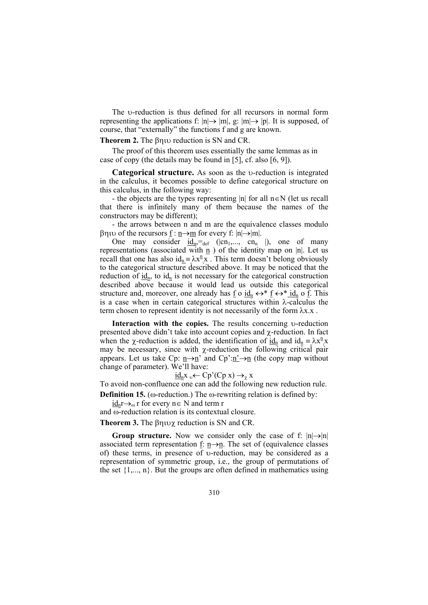The υ-reduction is thus defined for all recursors in normal form representing the applications f:  $|n| \rightarrow |m|$ , g:  $|m| \rightarrow |p|$ . It is supposed, of course, that "externally" the functions f and g are known.

**Theorem 2.** The βηιυ reduction is SN and CR.

 The proof of this theorem uses essentially the same lemmas as in case of copy (the details may be found in [5], cf. also [6, 9]).

**Categorical structure.** As soon as the υ-reduction is integrated in the calculus, it becomes possible to define categorical structure on this calculus, in the following way:

- the objects are the types representing |n| for all  $n \in N$  (let us recall that there is infinitely many of them because the names of the constructors may be different);

 - the arrows between n and m are the equivalence classes modulo βηιυ of the recursors f : n→m for every f: |n|→|m|.

One may consider  $\underline{\mathbf{id}_{n}}$ ,  $\equiv_{\text{def}}$  (|cn<sub>1</sub>,..., cn<sub>n</sub> |), one of many representations (associated with  $\underline{n}$  ) of the identity map on |n|. Let us recall that one has also  $id_n = \lambda x^n$ . This term doesn't belong obviously to the categorical structure described above. It may be noticed that the reduction of  $\underline{id}_n$ , to  $id_n$  is not necessary for the categorical construction described above because it would lead us outside this categorical structure and, moreover, one already has <u>f</u> o  $\underline{id}_n \leftrightarrow^* f \leftrightarrow^* \underline{id}_n$  o f. This is a case when in certain categorical structures within λ-calculus the term chosen to represent identity is not necessarily of the form  $\lambda x.x$ .

**Interaction with the copies.** The results concerning υ-reduction presented above didn't take into account copies and χ-reduction. In fact when the *χ*-reduction is added, the identification of  $\underline{id}_n$  and  $id_n \equiv \lambda x^n x$ may be necessary, since with  $χ$ -reduction the following critical pair appears. Let us take Cp:  $n \rightarrow n'$  and Cp': $n' \rightarrow n$  (the copy map without change of parameter). We'll have:

 $\underline{\text{id}}_n x_{\nu} \leftarrow Cp'(Cp x) \rightarrow_{\gamma} x$ 

To avoid non-confluence one can add the following new reduction rule.

**Definition 15.** (ω-reduction.) The ω-rewriting relation is defined by:

 $\underline{id}_{n}r \rightarrow_{\omega} r$  for every  $n \in N$  and term r

and ω-reduction relation is its contextual closure.

**Theorem 3.** The βηιυχ reduction is SN and CR.

**Group structure.** Now we consider only the case of f:  $|n| \rightarrow |n|$ associated term representation f: n→n. The set of (equivalence classes of) these terms, in presence of υ-reduction, may be considered as a representation of symmetric group, i.e., the group of permutations of the set  $\{1,...,n\}$ . But the groups are often defined in mathematics using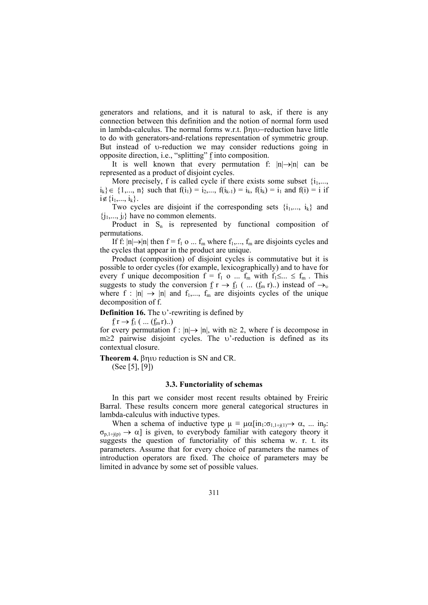generators and relations, and it is natural to ask, if there is any connection between this definition and the notion of normal form used in lambda-calculus. The normal forms w.r.t. βηιυ−reduction have little to do with generators-and-relations representation of symmetric group. But instead of υ-reduction we may consider reductions going in opposite direction, i.e., "splitting" f into composition.

It is well known that every permutation f:  $|n| \rightarrow |n|$  can be represented as a product of disjoint cycles.

More precisely, f is called cycle if there exists some subset  $\{i_1, \ldots, i_m\}$  $i_k$ }  $\in \{1,..., n\}$  such that  $f(i_1) = i_2,..., f(i_{k-1}) = i_k, f(i_k) = i_1$  and  $f(i) = i$  if  $i \notin \{i_1,..., i_k\}.$ 

Two cycles are disjoint if the corresponding sets  $\{i_1,..., i_k\}$  and  $\{j_1, \ldots, j_l\}$  have no common elements.

Product in  $S_n$  is represented by functional composition of permutations.

If f:  $|n| \rightarrow |n|$  then f = f<sub>1</sub> o ... f<sub>m</sub> where f<sub>1</sub>,..., f<sub>m</sub> are disjoints cycles and the cycles that appear in the product are unique.

 Product (composition) of disjoint cycles is commutative but it is possible to order cycles (for example, lexicographically) and to have for every f unique decomposition  $f = f_1$  o ...  $f_m$  with  $f_1 \leq ... \leq f_m$ . This suggests to study the conversion  $\underline{f}$  r  $\rightarrow \underline{f}_1$  ( ...  $(\underline{f}_m \rceil)$  instead of  $\rightarrow_v$ where f :  $|n| \rightarrow |n|$  and  $f_1,..., f_m$  are disjoints cycles of the unique decomposition of f.

**Definition 16.** The *ν*'-rewriting is defined by

 $f r \rightarrow f_1$  ( ...  $(f_m r)$ ..)

for every permutation  $f : |n| \rightarrow |n|$ , with  $n \ge 2$ , where f is decompose in m≥2 pairwise disjoint cycles. The υ'-reduction is defined as its contextual closure.

**Theorem 4.** βηιυ reduction is SN and CR.

(See [5], [9])

#### **3.3. Functoriality of schemas**

 In this part we consider most recent results obtained by Freiric Barral. These results concern more general categorical structures in lambda-calculus with inductive types.

When a schema of inductive type  $\mu \equiv \mu \alpha \left[ in_1: \sigma_{1,1 \div (1)} \rightarrow \alpha, \ldots in_p: \right]$  $\sigma_{p,1\div(p)} \rightarrow \alpha$ ] is given, to everybody familiar with category theory it suggests the question of functoriality of this schema w. r. t. its parameters. Assume that for every choice of parameters the names of introduction operators are fixed. The choice of parameters may be limited in advance by some set of possible values.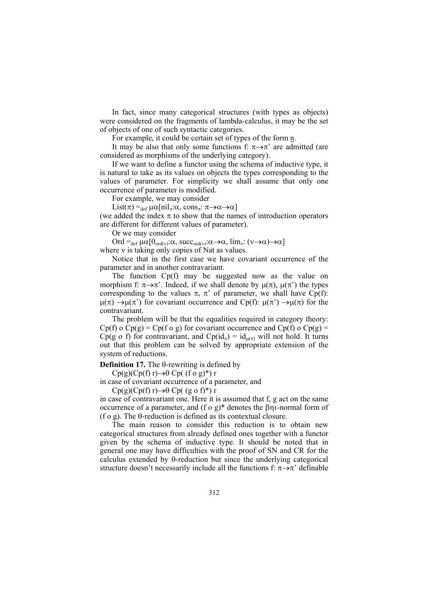In fact, since many categorical structures (with types as objects) were considered on the fragments of lambda-calculus, it may be the set of objects of one of such syntactic categories.

For example, it could be certain set of types of the form n.

It may be also that only some functions f:  $\pi \rightarrow \pi'$  are admitted (are considered as morphisms of the underlying category).

 If we want to define a functor using the schema of inductive type, it is natural to take as its values on objects the types corresponding to the values of parameter. For simplicity we shall assume that only one occurrence of parameter is modified.

For example, we may consider

List( $\pi$ ) =<sub>def</sub>  $\mu\alpha$ [nil<sub>π</sub>:α, cons<sub>π</sub>:  $\pi \rightarrow \alpha \rightarrow \alpha$ ]

(we added the index  $\pi$  to show that the names of introduction operators are different for different values of parameter).

Or we may consider

Ord = $_{def} \mu \alpha [0_{\text{ord}(v)}:\alpha, \text{succ}_{\text{ord}(v)}:\alpha \rightarrow \alpha, \text{lim}_{v}:(v \rightarrow \alpha) \rightarrow \alpha]$ 

where v is taking only copies of Nat as values.

 Notice that in the first case we have covariant occurrence of the parameter and in another contravariant.

 The function Cp(f) may be suggested now as the value on morphism f:  $\pi \rightarrow \pi'$ . Indeed, if we shall denote by  $\mu(\pi)$ ,  $\mu(\pi')$  the types corresponding to the values π, π' of parameter, we shall have Cp(f):  $\mu(\pi) \rightarrow \mu(\pi')$  for covariant occurrence and Cp(f):  $\mu(\pi') \rightarrow \mu(\pi)$  for the contravariant.

 The problem will be that the equalities required in category theory:  $Cp(f)$  o  $Cp(g) = Cp(f \circ g)$  for covariant occurrence and  $Cp(f)$  o  $Cp(g) =$ Cp(g o f) for contravariant, and Cp(id<sub>π</sub>) = id<sub>u(π)</sub> will not hold. It turns out that this problem can be solved by appropriate extension of the system of reductions.

**Definition 17.** The θ-rewriting is defined by

Cp(g)(Cp(f) r) $\rightarrow \theta$  Cp( (f o g)\*) r

in case of covariant occurrence of a parameter, and

Cp(g)(Cp(f) r) $\rightarrow \theta$  Cp( (g o f)<sup>\*</sup>) r

in case of contravariant one. Here it is assumed that f, g act on the same occurrence of a parameter, and (f o g)\* denotes the βηι-normal form of (f o g). The θ-reduction is defined as its contextual closure.

 The main reason to consider this reduction is to obtain new categorical structures from already defined ones together with a functor given by the schema of inductive type. It should be noted that in general one may have difficulties with the proof of SN and CR for the calculus extended by θ-reduction but since the underlying categorical structure doesn't necessarily include all the functions f:  $\pi \rightarrow \pi$ ' definable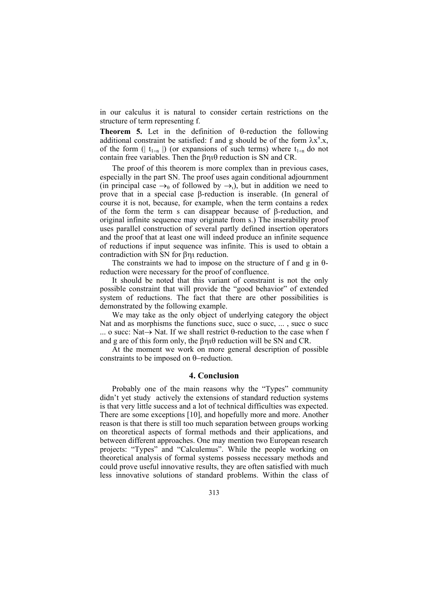in our calculus it is natural to consider certain restrictions on the structure of term representing f.

**Theorem 5.** Let in the definition of θ-reduction the following additional constraint be satisfied: f and g should be of the form  $\lambda x^{\pi}$ .x, of the form ( $| t_{1+n} |$ ) (or expansions of such terms) where  $t_{1+n}$  do not contain free variables. Then the βηιθ reduction is SN and CR.

 The proof of this theorem is more complex than in previous cases, especially in the part SN. The proof uses again conditional adjournment (in principal case  $\rightarrow_{\theta}$  of followed by  $\rightarrow_{\theta}$ ), but in addition we need to prove that in a special case β-reduction is inserable. (In general of course it is not, because, for example, when the term contains a redex of the form the term s can disappear because of β-reduction, and original infinite sequence may originate from s.) The inserability proof uses parallel construction of several partly defined insertion operators and the proof that at least one will indeed produce an infinite sequence of reductions if input sequence was infinite. This is used to obtain a contradiction with SN for βηι reduction.

The constraints we had to impose on the structure of f and g in  $\theta$ reduction were necessary for the proof of confluence.

 It should be noted that this variant of constraint is not the only possible constraint that will provide the "good behavior" of extended system of reductions. The fact that there are other possibilities is demonstrated by the following example.

 We may take as the only object of underlying category the object Nat and as morphisms the functions succ, succ o succ, ... , succ o succ ... o succ: Nat→ Nat. If we shall restrict θ-reduction to the case when f and g are of this form only, the βηιθ reduction will be SN and CR.

 At the moment we work on more general description of possible constraints to be imposed on θ−reduction.

# **4. Conclusion**

 Probably one of the main reasons why the "Types" community didn't yet study actively the extensions of standard reduction systems is that very little success and a lot of technical difficulties was expected. There are some exceptions [10], and hopefully more and more. Another reason is that there is still too much separation between groups working on theoretical aspects of formal methods and their applications, and between different approaches. One may mention two European research projects: "Types" and "Calculemus". While the people working on theoretical analysis of formal systems possess necessary methods and could prove useful innovative results, they are often satisfied with much less innovative solutions of standard problems. Within the class of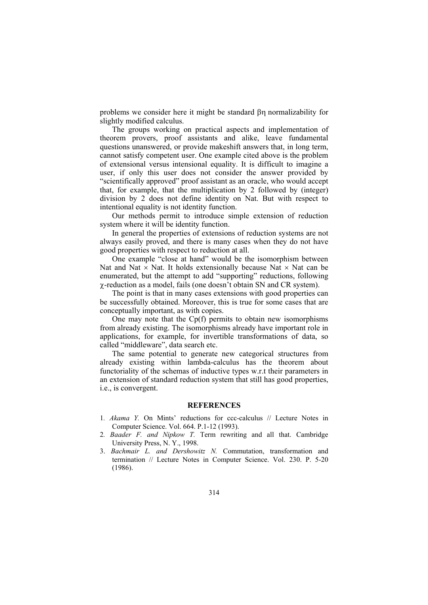problems we consider here it might be standard βη normalizability for slightly modified calculus.

 The groups working on practical aspects and implementation of theorem provers, proof assistants and alike, leave fundamental questions unanswered, or provide makeshift answers that, in long term, cannot satisfy competent user. One example cited above is the problem of extensional versus intensional equality. It is difficult to imagine a user, if only this user does not consider the answer provided by "scientifically approved" proof assistant as an oracle, who would accept that, for example, that the multiplication by 2 followed by (integer) division by 2 does not define identity on Nat. But with respect to intentional equality is not identity function.

 Our methods permit to introduce simple extension of reduction system where it will be identity function.

 In general the properties of extensions of reduction systems are not always easily proved, and there is many cases when they do not have good properties with respect to reduction at all.

 One example "close at hand" would be the isomorphism between Nat and Nat  $\times$  Nat. It holds extensionally because Nat  $\times$  Nat can be enumerated, but the attempt to add "supporting" reductions, following χ-reduction as a model, fails (one doesn't obtain SN and CR system).

 The point is that in many cases extensions with good properties can be successfully obtained. Moreover, this is true for some cases that are conceptually important, as with copies.

One may note that the  $Cp(f)$  permits to obtain new isomorphisms from already existing. The isomorphisms already have important role in applications, for example, for invertible transformations of data, so called "middleware", data search etc.

 The same potential to generate new categorical structures from already existing within lambda-calculus has the theorem about functoriality of the schemas of inductive types w.r.t their parameters in an extension of standard reduction system that still has good properties, i.e., is convergent.

# **REFERENCES**

- 1*. Akama Y.* On Mints' reductions for ccc-calculus // Lecture Notes in Computer Science. Vol. 664. P.1-12 (1993).
- 2*. Baader F. and Nipkow T.* Term rewriting and all that. Cambridge University Press, N. Y., 1998.
- 3. *Bachmair L. and Dershowitz N.* Commutation, transformation and termination // Lecture Notes in Computer Science. Vol. 230. P. 5-20 (1986).